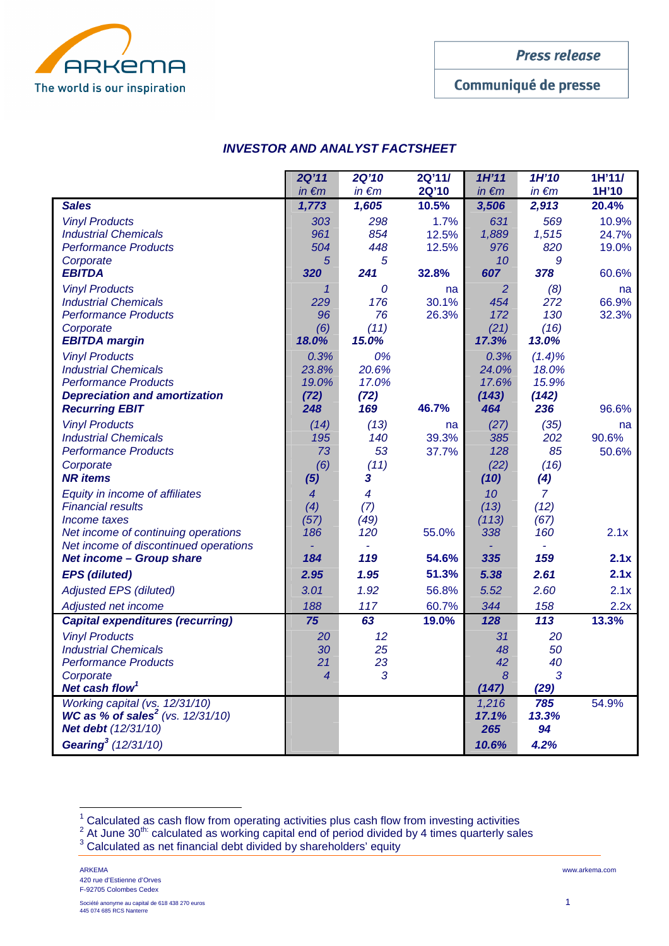

Communiqué de presse

# **INVESTOR AND ANALYST FACTSHEET**

|                                                       | 2Q'11          | <b>2Q'10</b> | 2Q'11/      | 1H'11          | 1H'10          | 1H'11/        |
|-------------------------------------------------------|----------------|--------------|-------------|----------------|----------------|---------------|
|                                                       | $in \in m$     | $in \in m$   | 2Q'10       | $in \in m$     | $in \in m$     | 1H'10         |
| <b>Sales</b>                                          | 1,773          | 1,605        | 10.5%       | 3,506          | 2,913          | 20.4%         |
| <b>Vinyl Products</b>                                 | 303            | 298          | 1.7%        | 631            | 569            | 10.9%         |
| <b>Industrial Chemicals</b>                           | 961<br>504     | 854<br>448   | 12.5%       | 1,889          | 1,515          | 24.7%         |
| <b>Performance Products</b><br>Corporate              | 5              | 5            | 12.5%       | 976<br>10      | 820<br>9       | 19.0%         |
| <b>EBITDA</b>                                         | 320            | 241          | 32.8%       | 607            | 378            | 60.6%         |
| <b>Vinyl Products</b>                                 | 1              | 0            | na          | $\overline{2}$ | (8)            | na            |
| <b>Industrial Chemicals</b>                           | 229            | 176          | 30.1%       | 454            | 272            | 66.9%         |
| <b>Performance Products</b>                           | 96             | 76           | 26.3%       | 172            | 130            | 32.3%         |
| Corporate                                             | (6)            | (11)         |             | (21)           | (16)           |               |
| <b>EBITDA</b> margin                                  | 18.0%          | 15.0%        |             | 17.3%          | 13.0%          |               |
| <b>Vinyl Products</b>                                 | 0.3%           | 0%           |             | 0.3%           | $(1.4)\%$      |               |
| <b>Industrial Chemicals</b>                           | 23.8%          | 20.6%        |             | 24.0%          | 18.0%          |               |
| <b>Performance Products</b>                           | 19.0%          | 17.0%        |             | 17.6%          | 15.9%          |               |
| <b>Depreciation and amortization</b>                  | (72)<br>248    | (72)<br>169  | 46.7%       | (143)<br>464   | (142)<br>236   | 96.6%         |
| <b>Recurring EBIT</b>                                 |                |              |             |                |                |               |
| <b>Vinyl Products</b><br><b>Industrial Chemicals</b>  | (14)<br>195    | (13)<br>140  | na<br>39.3% | (27)<br>385    | (35)<br>202    | na<br>90.6%   |
| <b>Performance Products</b>                           | 73             | 53           | 37.7%       | 128            | 85             | 50.6%         |
| Corporate                                             | (6)            | (11)         |             | (22)           | (16)           |               |
| <b>NR</b> items                                       | (5)            | 3            |             | (10)           | (4)            |               |
| Equity in income of affiliates                        | $\overline{4}$ | 4            |             | 10             | $\overline{7}$ |               |
| <b>Financial results</b>                              | (4)            | (7)          |             | (13)           | (12)           |               |
| Income taxes                                          | (57)           | (49)         |             | (113)          | (67)           |               |
| Net income of continuing operations                   | 186            | 120          | 55.0%       | 338            | 160            | 2.1x          |
| Net income of discontinued operations                 |                |              |             |                |                |               |
| <b>Net income - Group share</b>                       | 184            | 119          | 54.6%       | 335            | 159            | 2.1x          |
| <b>EPS</b> (diluted)                                  | 2.95           | 1.95         | 51.3%       | 5.38           | 2.61           | 2.1x          |
| <b>Adjusted EPS (diluted)</b>                         | 3.01           | 1.92         | 56.8%       | 5.52           | 2.60           | 2.1x          |
| Adjusted net income                                   | 188            | 117          | 60.7%       | 344            | 158            | 2.2x<br>13.3% |
| <b>Capital expenditures (recurring)</b>               | 75             | 63           | 19.0%       | 128            | 113            |               |
| <b>Vinyl Products</b><br><b>Industrial Chemicals</b>  | 20<br>30       | 12<br>25     |             | 31<br>48       | 20<br>50       |               |
| <b>Performance Products</b>                           | 21             | 23           |             | 42             | 40             |               |
| Corporate                                             | 4              | 3            |             | 8              | 3              |               |
| Net cash flow <sup>1</sup>                            |                |              |             | (147)          | (29)           |               |
| Working capital (vs. 12/31/10)                        |                |              |             | 1,216          | 785            | 54.9%         |
| <b>WC as % of sales<sup>2</sup></b> (vs. $12/31/10$ ) |                |              |             | 17.1%          | 13.3%          |               |
| Net debt (12/31/10)                                   |                |              |             | 265            | 94             |               |
| Gearing <sup>3</sup> (12/31/10)                       |                |              |             | 10.6%          | 4.2%           |               |

 $\frac{1}{2}$  Calculated as cash flow from operating activities plus cash flow from investing activities<br>  $\frac{1}{2}$  At June 30<sup>th:</sup> calculated as working capital end of period divided by 4 times quarterly sales<br>  $\frac{1}{3}$  Cal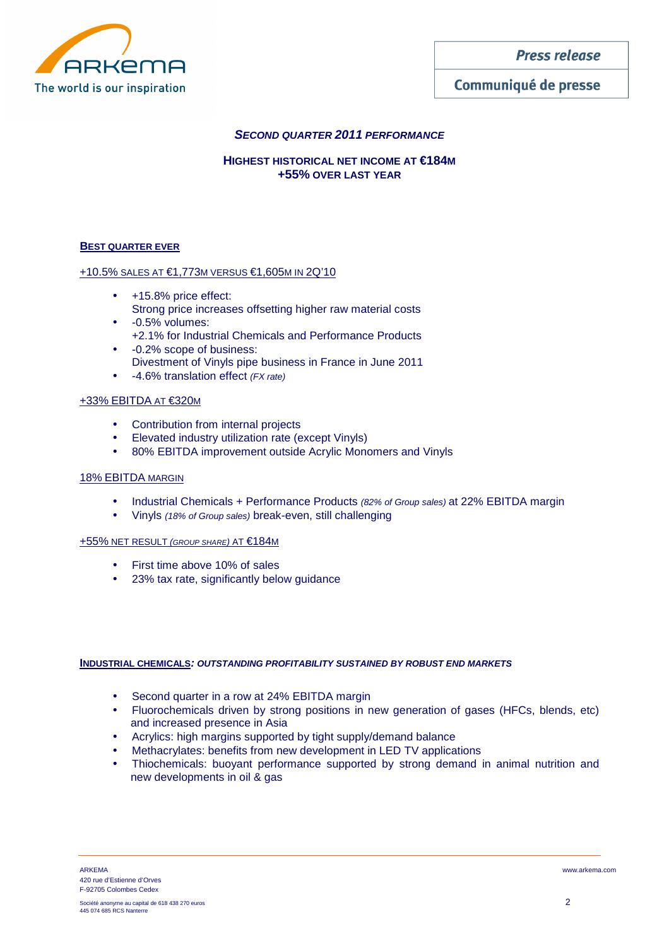

# Communiqué de presse

# **SECOND QUARTER 2011 PERFORMANCE**

## **HIGHEST HISTORICAL NET INCOME AT €184M +55% OVER LAST YEAR**

#### **BEST QUARTER EVER**

#### +10.5% SALES AT €1,773M VERSUS €1,605M IN 2Q'10

- +15.8% price effect: Strong price increases offsetting higher raw material costs
- -0.5% volumes: +2.1% for Industrial Chemicals and Performance Products
- -0.2% scope of business: Divestment of Vinyls pipe business in France in June 2011
- -4.6% translation effect (FX rate)

### +33% EBITDA AT €320M

- Contribution from internal projects
- Elevated industry utilization rate (except Vinyls)
- 80% EBITDA improvement outside Acrylic Monomers and Vinyls

#### 18% EBITDA MARGIN

- Industrial Chemicals + Performance Products (82% of Group sales) at 22% EBITDA margin
- Vinyls (18% of Group sales) break-even, still challenging

#### +55% NET RESULT (GROUP SHARE) AT €184M

- First time above 10% of sales
- 23% tax rate, significantly below guidance

#### **INDUSTRIAL CHEMICALS: OUTSTANDING PROFITABILITY SUSTAINED BY ROBUST END MARKETS**

- Second quarter in a row at 24% EBITDA margin
- Fluorochemicals driven by strong positions in new generation of gases (HFCs, blends, etc) and increased presence in Asia
- Acrylics: high margins supported by tight supply/demand balance
- Methacrylates: benefits from new development in LED TV applications
- Thiochemicals: buoyant performance supported by strong demand in animal nutrition and new developments in oil & gas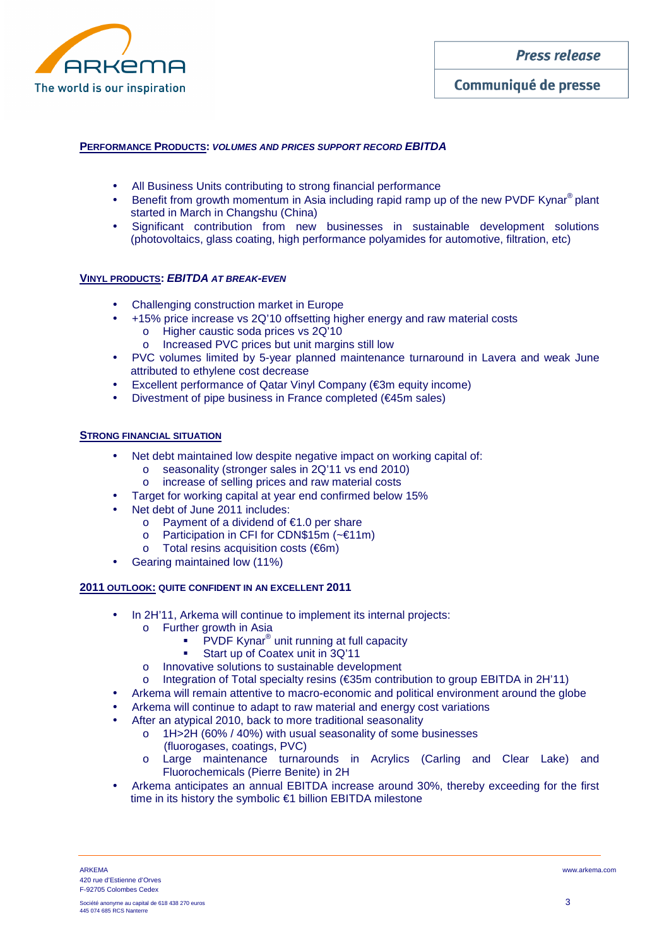

### **PERFORMANCE PRODUCTS: VOLUMES AND PRICES SUPPORT RECORD EBITDA**

- All Business Units contributing to strong financial performance
- Benefit from growth momentum in Asia including rapid ramp up of the new PVDF Kynar<sup>®</sup> plant started in March in Changshu (China)
- Significant contribution from new businesses in sustainable development solutions (photovoltaics, glass coating, high performance polyamides for automotive, filtration, etc)

#### **VINYL PRODUCTS: EBITDA AT BREAK-EVEN**

- Challenging construction market in Europe
- +15% price increase vs 2Q'10 offsetting higher energy and raw material costs
	- o Higher caustic soda prices vs 2Q'10
	- o Increased PVC prices but unit margins still low
- PVC volumes limited by 5-year planned maintenance turnaround in Lavera and weak June attributed to ethylene cost decrease
- **Excellent performance of Qatar Vinyl Company (€3m equity income)**
- Divestment of pipe business in France completed (€45m sales)

#### **STRONG FINANCIAL SITUATION**

- Net debt maintained low despite negative impact on working capital of:
	- o seasonality (stronger sales in 2Q'11 vs end 2010)
	- o increase of selling prices and raw material costs
- Target for working capital at year end confirmed below 15%
- Net debt of June 2011 includes:
	- o Payment of a dividend of €1.0 per share
	- o Participation in CFI for CDN\$15m (~€11m)
	- o Total resins acquisition costs (€6m)
- Gearing maintained low (11%)

#### **2011 OUTLOOK: QUITE CONFIDENT IN AN EXCELLENT 2011**

- In 2H'11, Arkema will continue to implement its internal projects:
	- o Further growth in Asia
		- PVDF Kynar<sup>®</sup> unit running at full capacity
		- Start up of Coatex unit in 3Q'11
	- o Innovative solutions to sustainable development
	- o Integration of Total specialty resins (€35m contribution to group EBITDA in 2H'11)
- Arkema will remain attentive to macro-economic and political environment around the globe
- Arkema will continue to adapt to raw material and energy cost variations
- After an atypical 2010, back to more traditional seasonality
	- o 1H>2H (60% / 40%) with usual seasonality of some businesses
		- (fluorogases, coatings, PVC)
		- o Large maintenance turnarounds in Acrylics (Carling and Clear Lake) and Fluorochemicals (Pierre Benite) in 2H
- Arkema anticipates an annual EBITDA increase around 30%, thereby exceeding for the first time in its history the symbolic €1 billion EBITDA milestone